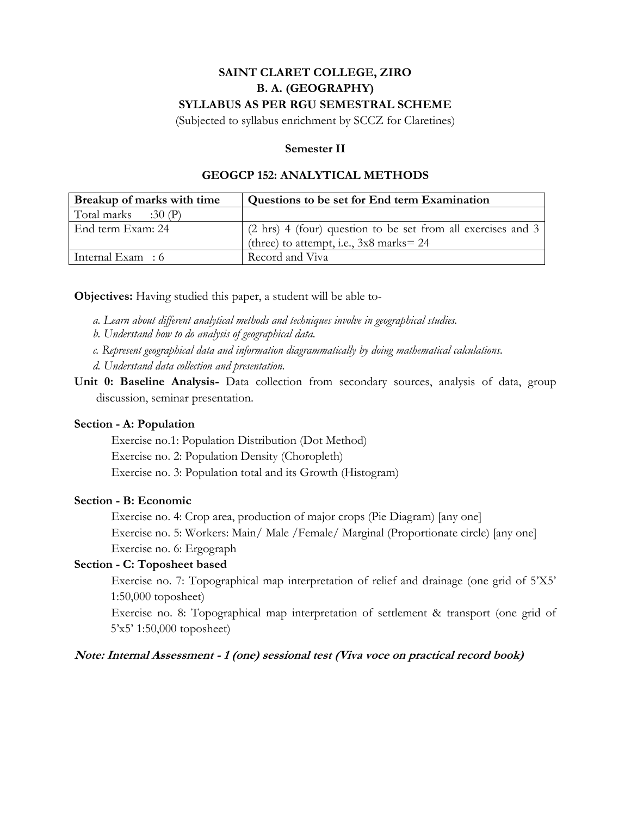# **SAINT CLARET COLLEGE, ZIRO B. A. (GEOGRAPHY) SYLLABUS AS PER RGU SEMESTRAL SCHEME**

(Subjected to syllabus enrichment by SCCZ for Claretines)

#### **Semester II**

### **GEOGCP 152: ANALYTICAL METHODS**

| Breakup of marks with time      | Questions to be set for End term Examination                                                               |
|---------------------------------|------------------------------------------------------------------------------------------------------------|
| Total marks $\therefore$ 30 (P) |                                                                                                            |
| End term Exam: 24               | (2 hrs) 4 (four) question to be set from all exercises and 3<br>(three) to attempt, i.e., $3x8$ marks = 24 |
| Internal Exam : 6               | Record and Viva                                                                                            |

**Objectives:** Having studied this paper, a student will be able to-

- *a. Learn about different analytical methods and techniques involve in geographical studies.*
- *b. Understand how to do analysis of geographical data.*
- *c. Represent geographical data and information diagrammatically by doing mathematical calculations.*
- *d. Understand data collection and presentation.*
- Unit 0: Baseline Analysis- Data collection from secondary sources, analysis of data, group discussion, seminar presentation.

## **Section - A: Population**

Exercise no.1: Population Distribution (Dot Method) Exercise no. 2: Population Density (Choropleth)

Exercise no. 3: Population total and its Growth (Histogram)

# **Section - B: Economic**

Exercise no. 4: Crop area, production of major crops (Pie Diagram) [any one] Exercise no. 5: Workers: Main/ Male /Female/ Marginal (Proportionate circle) [any one] Exercise no. 6: Ergograph

## **Section - C: Toposheet based**

Exercise no. 7: Topographical map interpretation of relief and drainage (one grid of 5'X5' 1:50,000 toposheet)

Exercise no. 8: Topographical map interpretation of settlement & transport (one grid of 5'x5' 1:50,000 toposheet)

### **Note: Internal Assessment - 1 (one) sessional test (Viva voce on practical record book)**